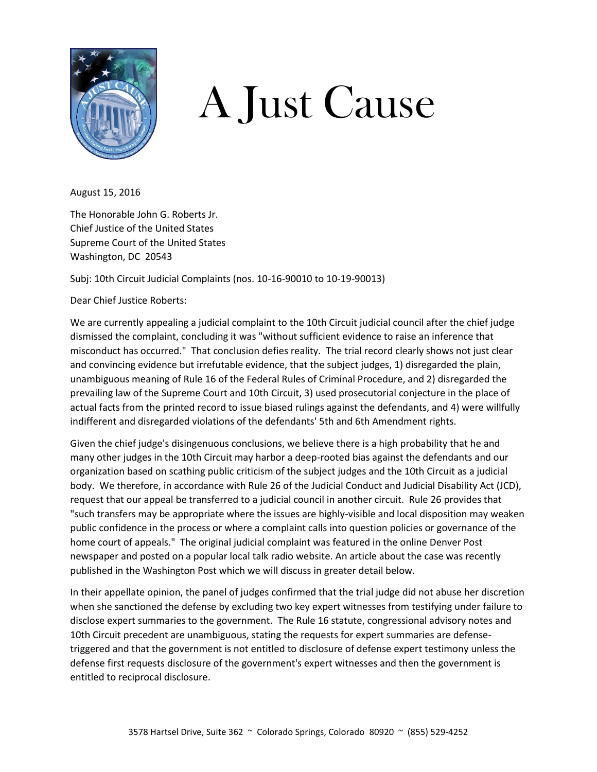

## A Just Cause

August 15, 2016

The Honorable John G. Roberts Jr. Chief Justice of the United States Supreme Court of the United States Washington, DC 20543

Subj: 10th Circuit Judicial Complaints (nos. 10-16-90010 to 10-19-90013)

Dear Chief Justice Roberts:

We are currently appealing a judicial complaint to the 10th Circuit judicial council after the chief judge dismissed the complaint, concluding it was "without sufficient evidence to raise an inference that misconduct has occurred." That conclusion defies reality. The trial record clearly shows not just clear and convincing evidence but irrefutable evidence, that the subject judges, 1) disregarded the plain, unambiguous meaning of Rule 16 of the Federal Rules of Criminal Procedure, and 2) disregarded the prevailing law of the Supreme Court and 10th Circuit, 3) used prosecutorial conjecture in the place of actual facts from the printed record to issue biased rulings against the defendants, and 4) were willfully indifferent and disregarded violations of the defendants' 5th and 6th Amendment rights.

Given the chief judge's disingenuous conclusions, we believe there is a high probability that he and many other judges in the 10th Circuit may harbor a deep-rooted bias against the defendants and our organization based on scathing public criticism of the subject judges and the 10th Circuit as a judicial body. We therefore, in accordance with Rule 26 of the Judicial Conduct and Judicial Disability Act (JCD), request that our appeal be transferred to a judicial council in another circuit. Rule 26 provides that "such transfers may be appropriate where the issues are highly-visible and local disposition may weaken public confidence in the process or where a complaint calls into question policies or governance of the home court of appeals." The original judicial complaint was featured in the online Denver Post newspaper and posted on a popular local talk radio website. An article about the case was recently published in the Washington Post which we will discuss in greater detail below.

In their appellate opinion, the panel of judges confirmed that the trial judge did not abuse her discretion when she sanctioned the defense by excluding two key expert witnesses from testifying under failure to disclose expert summaries to the government. The Rule 16 statute, congressional advisory notes and 10th Circuit precedent are unambiguous, stating the requests for expert summaries are defensetriggered and that the government is not entitled to disclosure of defense expert testimony unless the defense first requests disclosure of the government's expert witnesses and then the government is entitled to reciprocal disclosure.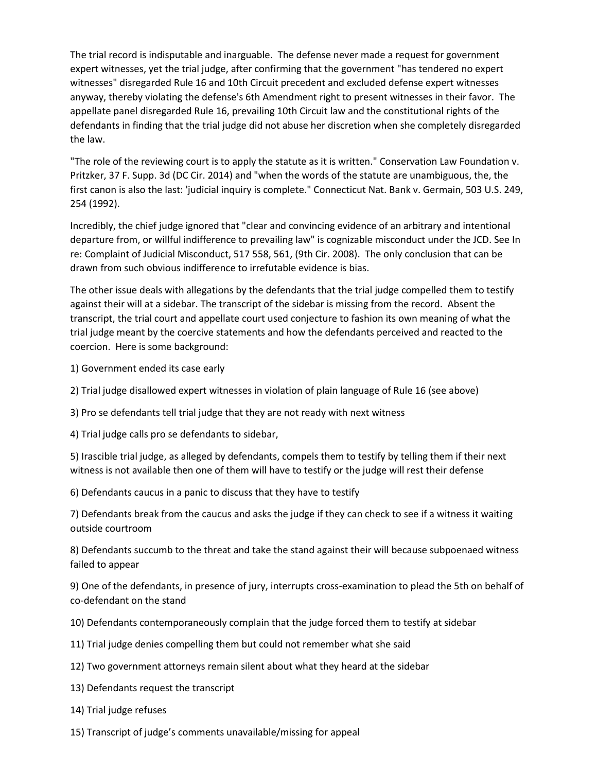The trial record is indisputable and inarguable. The defense never made a request for government expert witnesses, yet the trial judge, after confirming that the government "has tendered no expert witnesses" disregarded Rule 16 and 10th Circuit precedent and excluded defense expert witnesses anyway, thereby violating the defense's 6th Amendment right to present witnesses in their favor. The appellate panel disregarded Rule 16, prevailing 10th Circuit law and the constitutional rights of the defendants in finding that the trial judge did not abuse her discretion when she completely disregarded the law.

"The role of the reviewing court is to apply the statute as it is written." Conservation Law Foundation v. Pritzker, 37 F. Supp. 3d (DC Cir. 2014) and "when the words of the statute are unambiguous, the, the first canon is also the last: 'judicial inquiry is complete." Connecticut Nat. Bank v. Germain, 503 U.S. 249, 254 (1992).

Incredibly, the chief judge ignored that "clear and convincing evidence of an arbitrary and intentional departure from, or willful indifference to prevailing law" is cognizable misconduct under the JCD. See In re: Complaint of Judicial Misconduct, 517 558, 561, (9th Cir. 2008). The only conclusion that can be drawn from such obvious indifference to irrefutable evidence is bias.

The other issue deals with allegations by the defendants that the trial judge compelled them to testify against their will at a sidebar. The transcript of the sidebar is missing from the record. Absent the transcript, the trial court and appellate court used conjecture to fashion its own meaning of what the trial judge meant by the coercive statements and how the defendants perceived and reacted to the coercion. Here is some background:

- 1) Government ended its case early
- 2) Trial judge disallowed expert witnesses in violation of plain language of Rule 16 (see above)
- 3) Pro se defendants tell trial judge that they are not ready with next witness
- 4) Trial judge calls pro se defendants to sidebar,

5) Irascible trial judge, as alleged by defendants, compels them to testify by telling them if their next witness is not available then one of them will have to testify or the judge will rest their defense

6) Defendants caucus in a panic to discuss that they have to testify

7) Defendants break from the caucus and asks the judge if they can check to see if a witness it waiting outside courtroom

8) Defendants succumb to the threat and take the stand against their will because subpoenaed witness failed to appear

9) One of the defendants, in presence of jury, interrupts cross-examination to plead the 5th on behalf of co-defendant on the stand

- 10) Defendants contemporaneously complain that the judge forced them to testify at sidebar
- 11) Trial judge denies compelling them but could not remember what she said
- 12) Two government attorneys remain silent about what they heard at the sidebar
- 13) Defendants request the transcript
- 14) Trial judge refuses
- 15) Transcript of judge's comments unavailable/missing for appeal